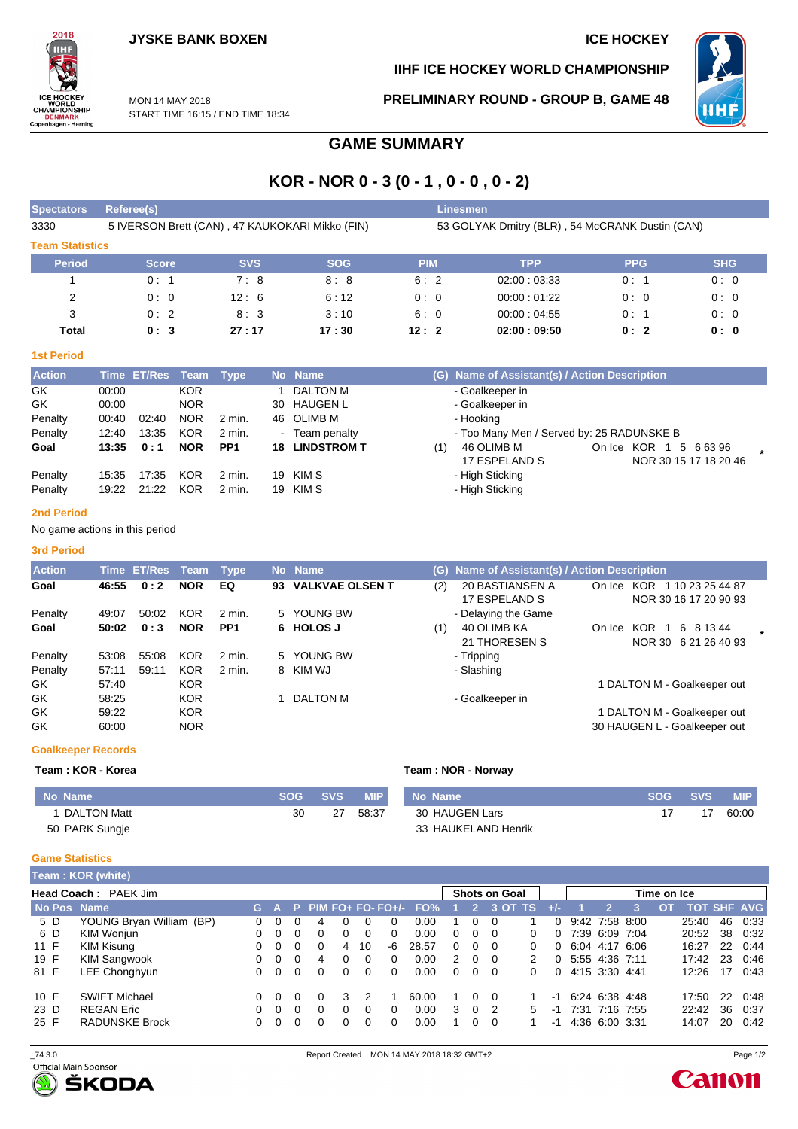**IIHF ICE HOCKEY WORLD CHAMPIONSHIP**



MON 14 MAY 2018 START TIME 16:15 / END TIME 18:34 **PRELIMINARY ROUND - GROUP B, GAME 48**



## **GAME SUMMARY**

# **KOR - NOR 0 - 3 (0 - 1 , 0 - 0 , 0 - 2)**

| <b>Spectators</b>      | Referee(s)                                      |            |            | <b>Linesmen</b> |                                                 |            |            |
|------------------------|-------------------------------------------------|------------|------------|-----------------|-------------------------------------------------|------------|------------|
| 3330                   | 5 IVERSON Brett (CAN), 47 KAUKOKARI Mikko (FIN) |            |            |                 | 53 GOLYAK Dmitry (BLR), 54 McCRANK Dustin (CAN) |            |            |
| <b>Team Statistics</b> |                                                 |            |            |                 |                                                 |            |            |
| <b>Period</b>          | <b>Score</b>                                    | <b>SVS</b> | <b>SOG</b> | <b>PIM</b>      | <b>TPP</b>                                      | <b>PPG</b> | <b>SHG</b> |
|                        | 0:1                                             | 7:8        | 8:8        | 6:2             | 02:00:03:33                                     | 0:1        | 0:0        |
| 2                      | 0:0                                             | 12:6       | 6:12       | 0:0             | 00:00:01:22                                     | 0:0        | 0:0        |
| 3                      | 0:2                                             | 8:3        | 3:10       | 6:0             | 00:00:04:55                                     | 0:1        | 0:0        |
| Total                  | 0:3                                             | 27:17      | 17:30      | 12:2            | 02:00:09:50                                     | 0:2        | 0:0        |

#### **1st Period**

| <b>Action</b> |       | Time ET/Res Team Type |            |                 |    | No Name            |     | (G) Name of Assistant(s) / Action Description |            |                       |  |
|---------------|-------|-----------------------|------------|-----------------|----|--------------------|-----|-----------------------------------------------|------------|-----------------------|--|
| GK            | 00:00 |                       | <b>KOR</b> |                 |    | DALTON M           |     | - Goalkeeper in                               |            |                       |  |
| GK            | 00:00 |                       | <b>NOR</b> |                 | 30 | HAUGEN L           |     | - Goalkeeper in                               |            |                       |  |
| Penalty       | 00:40 | 02:40                 | <b>NOR</b> | 2 min.          |    | 46 OLIMB M         |     | - Hooking                                     |            |                       |  |
| Penalty       | 12:40 | 13:35                 | <b>KOR</b> | 2 min.          |    | - Team penalty     |     | - Too Many Men / Served by: 25 RADUNSKE B     |            |                       |  |
| Goal          | 13:35 | 0:1                   | <b>NOR</b> | PP <sub>1</sub> | 18 | <b>LINDSTROM T</b> | (1) | 46 OLIMB M                                    | On Ice KOR | 5 6 6 3 9 6           |  |
|               |       |                       |            |                 |    |                    |     | 17 ESPELAND S                                 |            | NOR 30 15 17 18 20 46 |  |
| Penalty       | 15:35 | 17:35                 | <b>KOR</b> | 2 min.          | 19 | KIM S              |     | - High Sticking                               |            |                       |  |
| Penalty       | 19:22 | 21:22                 | <b>KOR</b> | 2 min.          | 19 | KIM S              |     | - High Sticking                               |            |                       |  |

#### **2nd Period**

No game actions in this period

#### **3rd Period**

| <b>Action</b> |       | Time ET/Res | Team       | Type              |    | No Name                |     | (G) Name of Assistant(s) / Action Description |        |                                                  |  |
|---------------|-------|-------------|------------|-------------------|----|------------------------|-----|-----------------------------------------------|--------|--------------------------------------------------|--|
| Goal          | 46:55 | 0:2         | <b>NOR</b> | EQ                | 93 | <b>VALKVAE OLSEN T</b> | (2) | 20 BASTIANSEN A<br>17 ESPELAND S              | On Ice | KOR<br>1 10 23 25 44 87<br>NOR 30 16 17 20 90 93 |  |
| Penalty       | 49:07 | 50:02       | <b>KOR</b> | $2 \text{ min}$ . |    | 5 YOUNG BW             |     | - Delaying the Game                           |        |                                                  |  |
| Goal          | 50:02 | 0:3         | <b>NOR</b> | PP <sub>1</sub>   |    | 6 HOLOS J              | (1) | 40 OLIMB KA<br>21 THORESEN S                  | On Ice | KOR<br>6 8 1 3 4 4<br>NOR 30 6 21 26 40 93       |  |
| Penalty       | 53:08 | 55:08       | <b>KOR</b> | 2 min.            |    | 5 YOUNG BW             |     | - Tripping                                    |        |                                                  |  |
| Penalty       | 57:11 | 59:11       | <b>KOR</b> | 2 min.            | 8  | KIM WJ                 |     | - Slashing                                    |        |                                                  |  |
| GK.           | 57:40 |             | <b>KOR</b> |                   |    |                        |     |                                               |        | 1 DALTON M - Goalkeeper out                      |  |
| GK            | 58:25 |             | <b>KOR</b> |                   |    | DALTON M               |     | - Goalkeeper in                               |        |                                                  |  |
| GK.           | 59:22 |             | <b>KOR</b> |                   |    |                        |     |                                               |        | 1 DALTON M - Goalkeeper out                      |  |
| GK            | 60:00 |             | <b>NOR</b> |                   |    |                        |     |                                               |        | 30 HAUGEN L - Goalkeeper out                     |  |

#### **Goalkeeper Records**

#### **Team : KOR - Korea Team : NOR - Norway**

| No Name        | SOG | SVS | MIP <sup>1</sup> | No Name             | SOG SVS | <b>MIP</b> |
|----------------|-----|-----|------------------|---------------------|---------|------------|
| 1 DALTON Matt  | 30  | 27  | 58:37            | 30 HAUGEN Lars      |         | 60:00      |
| 50 PARK Sungje |     |     |                  | 33 HAUKELAND Henrik |         |            |

#### **Game Statistics**

|                             | Team: KOR (white)        |              |          |          |              |              |          |          |                             |               |          |                |                      |    |                     |                |             |                    |    |      |
|-----------------------------|--------------------------|--------------|----------|----------|--------------|--------------|----------|----------|-----------------------------|---------------|----------|----------------|----------------------|----|---------------------|----------------|-------------|--------------------|----|------|
| <b>Head Coach: PAEK Jim</b> |                          |              |          |          |              |              |          |          |                             |               |          |                | <b>Shots on Goal</b> |    |                     |                | Time on Ice |                    |    |      |
|                             | No Pos Name              |              |          |          |              |              |          |          | G A P PIM FO+ FO- FO+/- FO% |               |          |                | 2 3 OT TS            |    |                     |                |             | <b>TOT SHF AVG</b> |    |      |
| 5 D                         | YOUNG Bryan William (BP) |              | $\Omega$ |          | 4            |              | 0        | $\Omega$ | 0.00                        |               | 0        |                |                      |    | $0$ 9:42 7:58 8:00  |                |             | 25:40              | 46 | 0:33 |
| 6 D                         | KIM Wonjun               | <sup>n</sup> |          |          | 0            |              | $\Omega$ | $\Omega$ | 0.00                        | $\Omega$      | $\Omega$ | $\Omega$       | 0                    |    | $0$ 7:39 6:09 7:04  |                |             | 20:52              | 38 | 0:32 |
| 11 F                        | KIM Kisung               | <sup>n</sup> | $\Omega$ | $\Omega$ | 0            | 4            | 10       | -6       | 28.57                       | $\Omega$      | $\Omega$ | - 0            | 0                    |    | $0.604$ 4.17 6.06   |                |             | 16:27              | 22 | 0:44 |
| 19 F                        | <b>KIM Sangwook</b>      | 0            | $\Omega$ | $\Omega$ | 4            | 0            | $\Omega$ | $\Omega$ | 0.00                        | $\mathcal{P}$ | $\Omega$ | - 0            | 2                    |    | 0, 5:55, 4:36, 7:11 |                |             | 17:42              | 23 | 0:46 |
| 81 F                        | LEE Chonghyun            | 0            | $\Omega$ | $\Omega$ | $\Omega$     | 0            | $\Omega$ | $\Omega$ | 0.00                        | $\Omega$      | $\Omega$ | - 0            | 0                    |    | 0, 4:15, 3:30, 4:41 |                |             | 12:26              | 17 | 0:43 |
| 10 F                        | <b>SWIFT Michael</b>     | 0            | $\Omega$ |          | $\Omega$     | 3            | 2        |          | 60.00                       |               | $\Omega$ | $\Omega$       |                      | -1 |                     | 6:24 6:38 4:48 |             | 17:50              | 22 | 0:48 |
| 23 <sub>D</sub>             | <b>REGAN Eric</b>        |              | $\Omega$ | $\Omega$ | $\Omega$     | <sup>0</sup> | 0        | $\Omega$ | 0.00                        | 3             | $\Omega$ | $\overline{2}$ | 5                    | -1 |                     | 7:31 7:16 7:55 |             | 22:42              | 36 | 0:37 |
| 25 F                        | <b>RADUNSKE Brock</b>    |              | $\Omega$ | $\Omega$ | <sup>n</sup> | <sup>0</sup> | $\Omega$ | $\Omega$ | 0.00                        |               | $\Omega$ | $\Omega$       |                      | -1 |                     | 4:36 6:00 3:31 |             | 14:07              | 20 | 0:42 |

ŠKODA